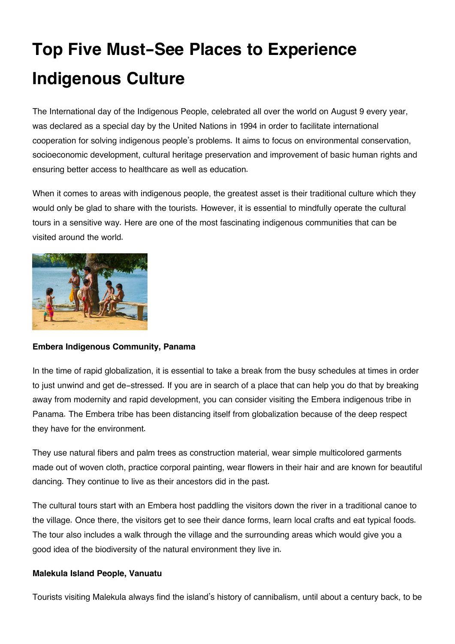# **Top Five Must-See Places to Experience Indigenous Culture**

The International day of the Indigenous People, celebrated all over the world on August 9 every year, was declared as a special day by the United Nations in 1994 in order to facilitate international cooperation for solving indigenous people's problems. It aims to focus on environmental conservation, socioeconomic development, cultural heritage preservation and improvement of basic human rights and ensuring better access to healthcare as well as education.

When it comes to areas with indigenous people, the greatest asset is their traditional culture which they would only be glad to share with the tourists. However, it is essential to mindfully operate the cultural tours in a sensitive way. Here are one of the most fascinating indigenous communities that can be visited around the world.



## **Embera Indigenous Community, Panama**

In the time of rapid globalization, it is essential to take a break from the busy schedules at times in order to just unwind and get de-stressed. If you are in search of a place that can help you do that by breaking away from modernity and rapid development, you can consider visiting the Embera indigenous tribe in Panama. The Embera tribe has been distancing itself from globalization because of the deep respect they have for the environment.

They use natural fibers and palm trees as construction material, wear simple multicolored garments made out of woven cloth, practice corporal painting, wear flowers in their hair and are known for beautiful dancing. They continue to live as their ancestors did in the past.

The cultural tours start with an Embera host paddling the visitors down the river in a traditional canoe to the village. Once there, the visitors get to see their dance forms, learn local crafts and eat typical foods. The tour also includes a walk through the village and the surrounding areas which would give you a good idea of the biodiversity of the natural environment they live in.

### **Malekula Island People, Vanuatu**

Tourists visiting Malekula always find the island's history of cannibalism, until about a century back, to be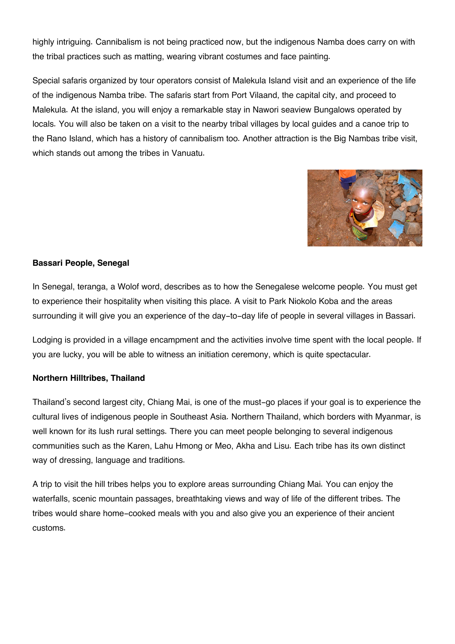highly intriguing. Cannibalism is not being practiced now, but the indigenous Namba does carry on with the tribal practices such as matting, wearing vibrant costumes and face painting.

Special safaris organized by tour operators consist of Malekula Island visit and an experience of the life of the indigenous Namba tribe. The safaris start from Port Vilaand, the capital city, and proceed to Malekula. At the island, you will enjoy a remarkable stay in Nawori seaview Bungalows operated by locals. You will also be taken on a visit to the nearby tribal villages by local guides and a canoe trip to the Rano Island, which has a history of cannibalism too. Another attraction is the Big Nambas tribe visit, which stands out among the tribes in Vanuatu.



## **Bassari People, Senegal**

In Senegal, teranga, a Wolof word, describes as to how the Senegalese welcome people. You must get to experience their hospitality when visiting this place. A visit to Park Niokolo Koba and the areas surrounding it will give you an experience of the day-to-day life of people in several villages in Bassari.

Lodging is provided in a village encampment and the activities involve time spent with the local people. If you are lucky, you will be able to witness an initiation ceremony, which is quite spectacular.

### **Northern Hilltribes, Thailand**

Thailand's second largest city, Chiang Mai, is one of the must-go places if your goal is to experience the cultural lives of indigenous people in Southeast Asia. Northern Thailand, which borders with Myanmar, is well known for its lush rural settings. There you can meet people belonging to several indigenous communities such as the Karen, Lahu Hmong or Meo, Akha and Lisu. Each tribe has its own distinct way of dressing, language and traditions.

A trip to visit the hill tribes helps you to explore areas surrounding Chiang Mai. You can enjoy the waterfalls, scenic mountain passages, breathtaking views and way of life of the different tribes. The tribes would share home-cooked meals with you and also give you an experience of their ancient customs.